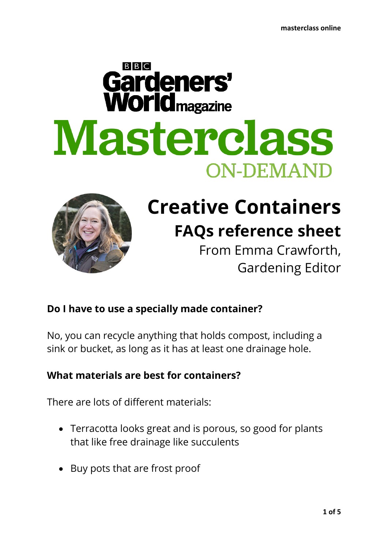# $B|B|C$ Gardeners' **World** magazine Masterclass **ON-DEMAND**



# **Creative Containers FAQs reference sheet**

From Emma Crawforth, Gardening Editor

# **Do I have to use a specially made container?**

No, you can recycle anything that holds compost, including a sink or bucket, as long as it has at least one drainage hole.

# **What materials are best for containers?**

There are lots of different materials:

- Terracotta looks great and is porous, so good for plants that like free drainage like succulents
- Buy pots that are frost proof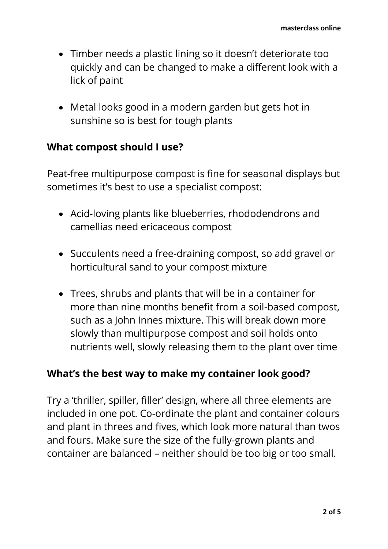- Timber needs a plastic lining so it doesn't deteriorate too quickly and can be changed to make a different look with a lick of paint
- Metal looks good in a modern garden but gets hot in sunshine so is best for tough plants

#### **What compost should I use?**

Peat-free multipurpose compost is fine for seasonal displays but sometimes it's best to use a specialist compost:

- Acid-loving plants like blueberries, rhododendrons and camellias need ericaceous compost
- Succulents need a free-draining compost, so add gravel or horticultural sand to your compost mixture
- Trees, shrubs and plants that will be in a container for more than nine months benefit from a soil-based compost, such as a John Innes mixture. This will break down more slowly than multipurpose compost and soil holds onto nutrients well, slowly releasing them to the plant over time

#### **What's the best way to make my container look good?**

Try a 'thriller, spiller, filler' design, where all three elements are included in one pot. Co-ordinate the plant and container colours and plant in threes and fives, which look more natural than twos and fours. Make sure the size of the fully-grown plants and container are balanced – neither should be too big or too small.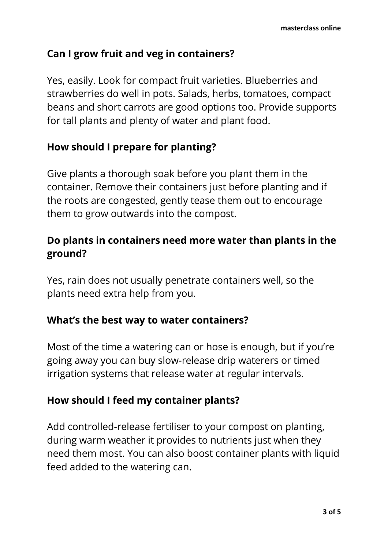# **Can I grow fruit and veg in containers?**

Yes, easily. Look for compact fruit varieties. Blueberries and strawberries do well in pots. Salads, herbs, tomatoes, compact beans and short carrots are good options too. Provide supports for tall plants and plenty of water and plant food.

# **How should I prepare for planting?**

Give plants a thorough soak before you plant them in the container. Remove their containers just before planting and if the roots are congested, gently tease them out to encourage them to grow outwards into the compost.

# **Do plants in containers need more water than plants in the ground?**

Yes, rain does not usually penetrate containers well, so the plants need extra help from you.

#### **What's the best way to water containers?**

Most of the time a watering can or hose is enough, but if you're going away you can buy slow-release drip waterers or timed irrigation systems that release water at regular intervals.

# **How should I feed my container plants?**

Add controlled-release fertiliser to your compost on planting, during warm weather it provides to nutrients just when they need them most. You can also boost container plants with liquid feed added to the watering can.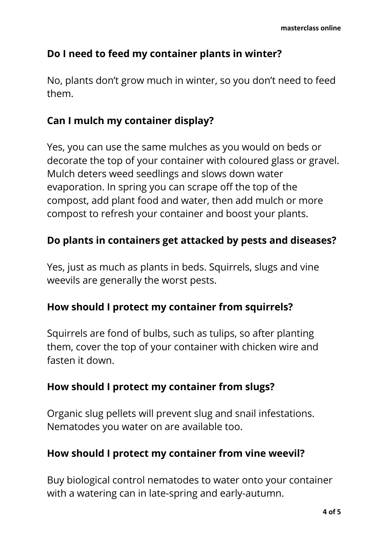# **Do I need to feed my container plants in winter?**

No, plants don't grow much in winter, so you don't need to feed them.

## **Can I mulch my container display?**

Yes, you can use the same mulches as you would on beds or decorate the top of your container with coloured glass or gravel. Mulch deters weed seedlings and slows down water evaporation. In spring you can scrape off the top of the compost, add plant food and water, then add mulch or more compost to refresh your container and boost your plants.

## **Do plants in containers get attacked by pests and diseases?**

Yes, just as much as plants in beds. Squirrels, slugs and vine weevils are generally the worst pests.

#### **How should I protect my container from squirrels?**

Squirrels are fond of bulbs, such as tulips, so after planting them, cover the top of your container with chicken wire and fasten it down.

#### **How should I protect my container from slugs?**

Organic slug pellets will prevent slug and snail infestations. Nematodes you water on are available too.

#### **How should I protect my container from vine weevil?**

Buy biological control nematodes to water onto your container with a watering can in late-spring and early-autumn.